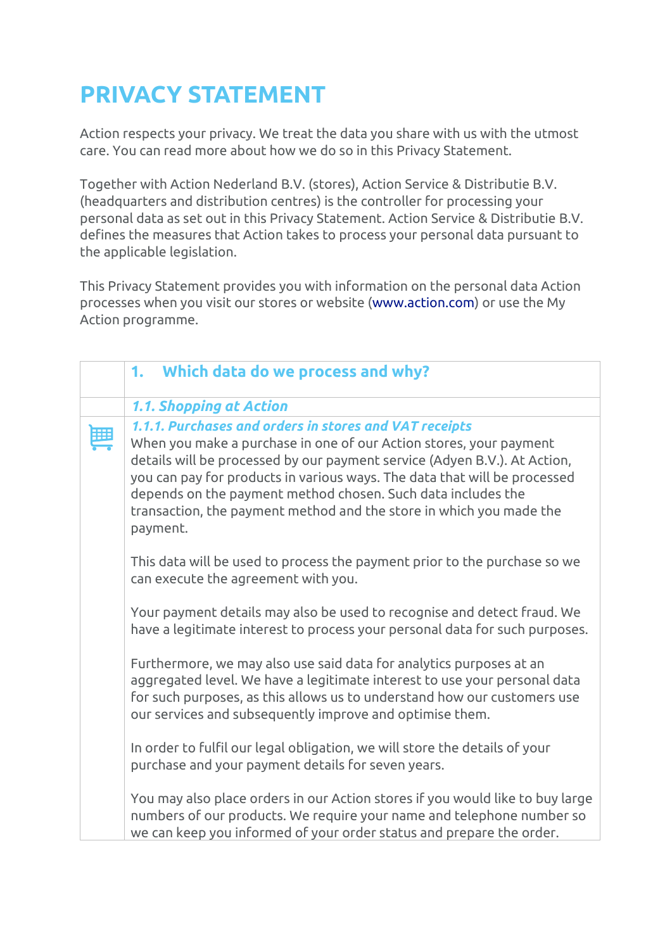# **PRIVACY STATEMENT**

Action respects your privacy. We treat the data you share with us with the utmost care. You can read more about how we do so in this Privacy Statement.

Together with Action Nederland B.V. (stores), Action Service & Distributie B.V. (headquarters and distribution centres) is the controller for processing your personal data as set out in this Privacy Statement. Action Service & Distributie B.V. defines the measures that Action takes to process your personal data pursuant to the applicable legislation.

This Privacy Statement provides you with information on the personal data Action processes when you visit our stores or website [\(www.action.com\)](http://www.action.com/) or use the My Action programme.

| 1. Which data do we process and why?                                                                                                                                                                                                                                                                                                                                                                                                      |
|-------------------------------------------------------------------------------------------------------------------------------------------------------------------------------------------------------------------------------------------------------------------------------------------------------------------------------------------------------------------------------------------------------------------------------------------|
| 1.1. Shopping at Action                                                                                                                                                                                                                                                                                                                                                                                                                   |
| 1.1.1. Purchases and orders in stores and VAT receipts<br>When you make a purchase in one of our Action stores, your payment<br>details will be processed by our payment service (Adyen B.V.). At Action,<br>you can pay for products in various ways. The data that will be processed<br>depends on the payment method chosen. Such data includes the<br>transaction, the payment method and the store in which you made the<br>payment. |
| This data will be used to process the payment prior to the purchase so we<br>can execute the agreement with you.                                                                                                                                                                                                                                                                                                                          |
| Your payment details may also be used to recognise and detect fraud. We<br>have a legitimate interest to process your personal data for such purposes.                                                                                                                                                                                                                                                                                    |
| Furthermore, we may also use said data for analytics purposes at an<br>aggregated level. We have a legitimate interest to use your personal data<br>for such purposes, as this allows us to understand how our customers use<br>our services and subsequently improve and optimise them.                                                                                                                                                  |
| In order to fulfil our legal obligation, we will store the details of your<br>purchase and your payment details for seven years.                                                                                                                                                                                                                                                                                                          |
| You may also place orders in our Action stores if you would like to buy large<br>numbers of our products. We require your name and telephone number so<br>we can keep you informed of your order status and prepare the order.                                                                                                                                                                                                            |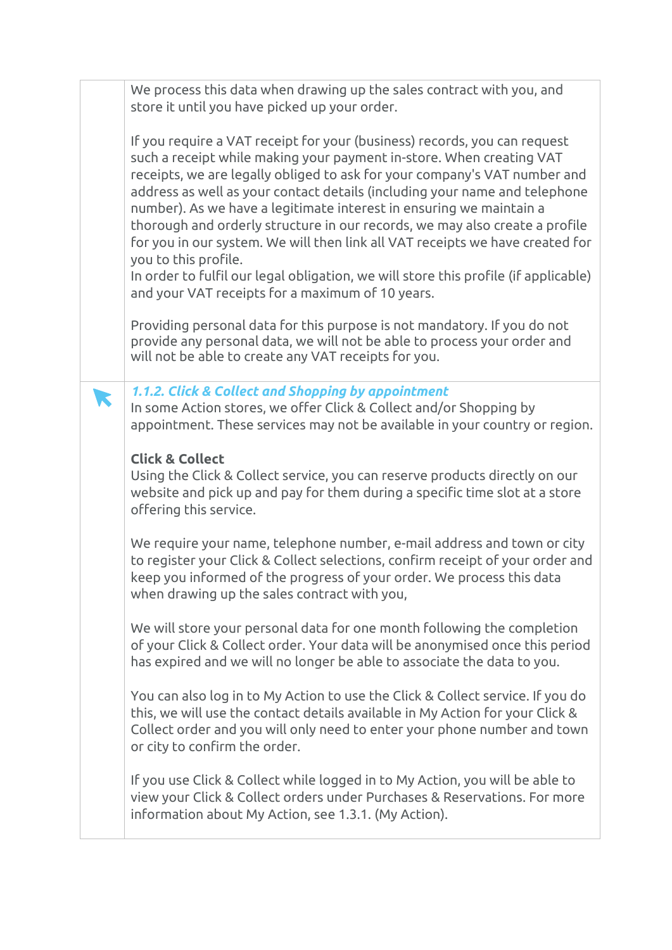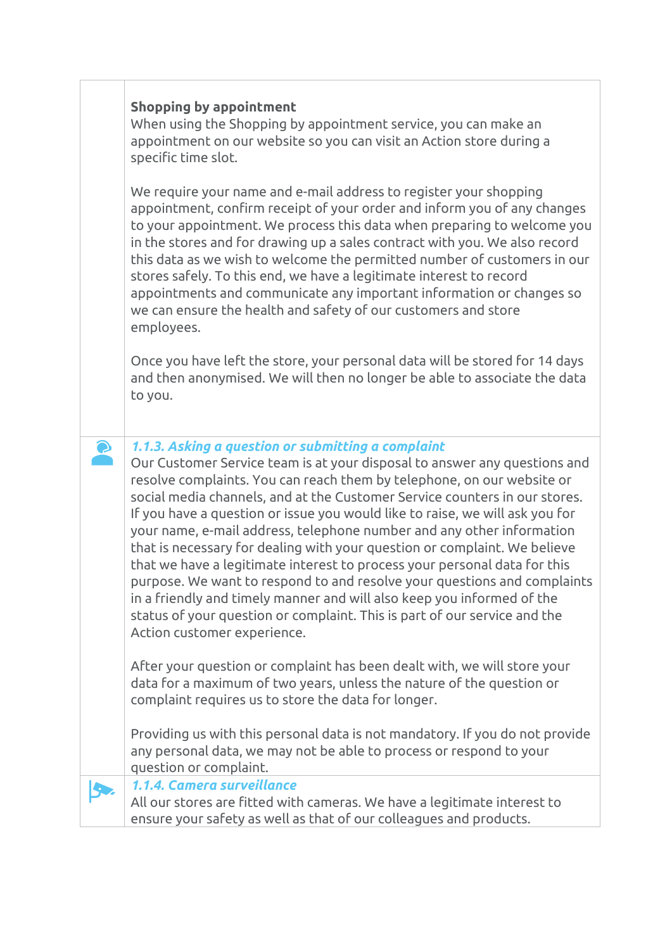## **Shopping by appointment**

When using the Shopping by appointment service, you can make an appointment on our website so you can visit an Action store during a specific time slot.

We require your name and e-mail address to register your shopping appointment, confirm receipt of your order and inform you of any changes to your appointment. We process this data when preparing to welcome you in the stores and for drawing up a sales contract with you. We also record this data as we wish to welcome the permitted number of customers in our stores safely. To this end, we have a legitimate interest to record appointments and communicate any important information or changes so we can ensure the health and safety of our customers and store employees.

Once you have left the store, your personal data will be stored for 14 days and then anonymised. We will then no longer be able to associate the data to you.

## *1.1.3. Asking a question or submitting a complaint*

Our Customer Service team is at your disposal to answer any questions and resolve complaints. You can reach them by telephone, on our website or social media channels, and at the Customer Service counters in our stores. If you have a question or issue you would like to raise, we will ask you for your name, e-mail address, telephone number and any other information that is necessary for dealing with your question or complaint. We believe that we have a legitimate interest to process your personal data for this purpose. We want to respond to and resolve your questions and complaints in a friendly and timely manner and will also keep you informed of the status of your question or complaint. This is part of our service and the Action customer experience.

After your question or complaint has been dealt with, we will store your data for a maximum of two years, unless the nature of the question or complaint requires us to store the data for longer.

Providing us with this personal data is not mandatory. If you do not provide any personal data, we may not be able to process or respond to your question or complaint.

*1.1.4. Camera surveillance*  IS.

 $\bullet$ 

All our stores are fitted with cameras. We have a legitimate interest to ensure your safety as well as that of our colleagues and products.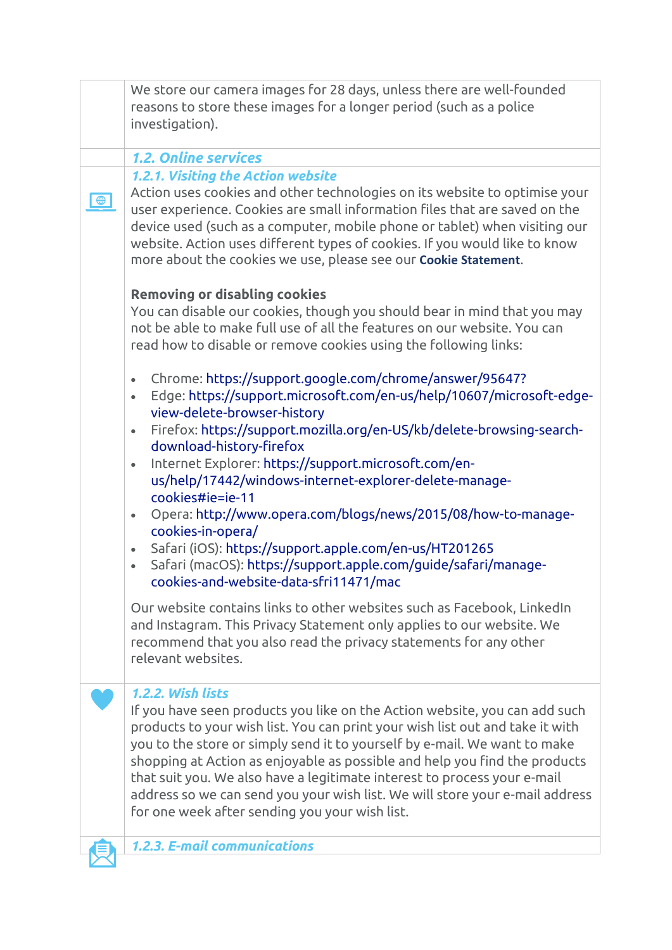|             | We store our camera images for 28 days, unless there are well-founded<br>reasons to store these images for a longer period (such as a police<br>investigation).                                                                                                                                                                                                                                                                                                                                                                                           |
|-------------|-----------------------------------------------------------------------------------------------------------------------------------------------------------------------------------------------------------------------------------------------------------------------------------------------------------------------------------------------------------------------------------------------------------------------------------------------------------------------------------------------------------------------------------------------------------|
|             |                                                                                                                                                                                                                                                                                                                                                                                                                                                                                                                                                           |
|             | <b>1.2. Online services</b>                                                                                                                                                                                                                                                                                                                                                                                                                                                                                                                               |
|             | 1.2.1. Visiting the Action website                                                                                                                                                                                                                                                                                                                                                                                                                                                                                                                        |
| $\bigoplus$ | Action uses cookies and other technologies on its website to optimise your<br>user experience. Cookies are small information files that are saved on the<br>device used (such as a computer, mobile phone or tablet) when visiting our<br>website. Action uses different types of cookies. If you would like to know<br>more about the cookies we use, please see our Cookie Statement.                                                                                                                                                                   |
|             | <b>Removing or disabling cookies</b><br>You can disable our cookies, though you should bear in mind that you may<br>not be able to make full use of all the features on our website. You can<br>read how to disable or remove cookies using the following links:                                                                                                                                                                                                                                                                                          |
|             | Chrome: https://support.google.com/chrome/answer/95647?<br>$\bullet$<br>Edge: https://support.microsoft.com/en-us/help/10607/microsoft-edge-<br>$\bullet$<br>view-delete-browser-history                                                                                                                                                                                                                                                                                                                                                                  |
|             | Firefox: https://support.mozilla.org/en-US/kb/delete-browsing-search-<br>$\bullet$<br>download-history-firefox                                                                                                                                                                                                                                                                                                                                                                                                                                            |
|             | Internet Explorer: https://support.microsoft.com/en-<br>$\bullet$<br>us/help/17442/windows-internet-explorer-delete-manage-<br>cookies#ie=ie-11                                                                                                                                                                                                                                                                                                                                                                                                           |
|             | Opera: http://www.opera.com/blogs/news/2015/08/how-to-manage-<br>$\bullet$<br>cookies-in-opera/                                                                                                                                                                                                                                                                                                                                                                                                                                                           |
|             | Safari (iOS): https://support.apple.com/en-us/HT201265<br>$\bullet$<br>Safari (macOS): https://support.apple.com/guide/safari/manage-<br>$\bullet$<br>cookies-and-website-data-sfri11471/mac                                                                                                                                                                                                                                                                                                                                                              |
|             | Our website contains links to other websites such as Facebook, LinkedIn<br>and Instagram. This Privacy Statement only applies to our website. We<br>recommend that you also read the privacy statements for any other<br>relevant websites.                                                                                                                                                                                                                                                                                                               |
|             | 1.2.2. Wish lists<br>If you have seen products you like on the Action website, you can add such<br>products to your wish list. You can print your wish list out and take it with<br>you to the store or simply send it to yourself by e-mail. We want to make<br>shopping at Action as enjoyable as possible and help you find the products<br>that suit you. We also have a legitimate interest to process your e-mail<br>address so we can send you your wish list. We will store your e-mail address<br>for one week after sending you your wish list. |
|             | <b>1.2.3. E-mail communications</b>                                                                                                                                                                                                                                                                                                                                                                                                                                                                                                                       |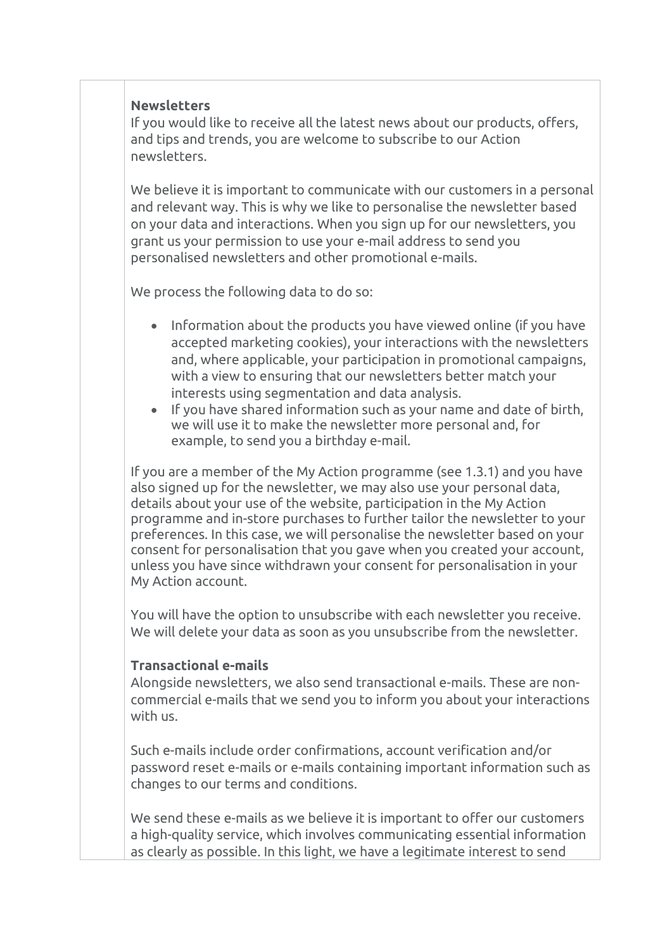#### **Newsletters**

If you would like to receive all the latest news about our products, offers, and tips and trends, you are welcome to subscribe to our Action newsletters.

We believe it is important to communicate with our customers in a personal and relevant way. This is why we like to personalise the newsletter based on your data and interactions. When you sign up for our newsletters, you grant us your permission to use your e-mail address to send you personalised newsletters and other promotional e-mails.

We process the following data to do so:

- Information about the products you have viewed online (if you have accepted marketing cookies), your interactions with the newsletters and, where applicable, your participation in promotional campaigns, with a view to ensuring that our newsletters better match your interests using segmentation and data analysis.
- If you have shared information such as your name and date of birth, we will use it to make the newsletter more personal and, for example, to send you a birthday e-mail.

If you are a member of the My Action programme (see 1.3.1) and you have also signed up for the newsletter, we may also use your personal data, details about your use of the website, participation in the My Action programme and in-store purchases to further tailor the newsletter to your preferences. In this case, we will personalise the newsletter based on your consent for personalisation that you gave when you created your account, unless you have since withdrawn your consent for personalisation in your My Action account.

You will have the option to unsubscribe with each newsletter you receive. We will delete your data as soon as you unsubscribe from the newsletter.

#### **Transactional e-mails**

Alongside newsletters, we also send transactional e-mails. These are noncommercial e-mails that we send you to inform you about your interactions with us.

Such e-mails include order confirmations, account verification and/or password reset e-mails or e-mails containing important information such as changes to our terms and conditions.

We send these e-mails as we believe it is important to offer our customers a high-quality service, which involves communicating essential information as clearly as possible. In this light, we have a legitimate interest to send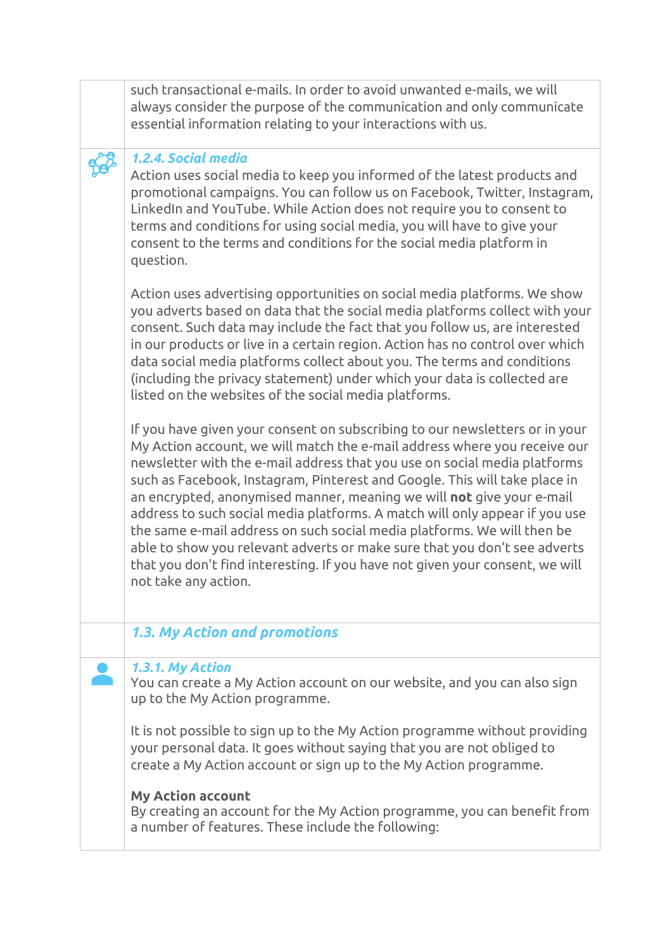| such transactional e-mails. In order to avoid unwanted e-mails, we will<br>always consider the purpose of the communication and only communicate<br>essential information relating to your interactions with us.                                                                                                                                                                                                                                                                                                                                                                                                                                                                                                                            |
|---------------------------------------------------------------------------------------------------------------------------------------------------------------------------------------------------------------------------------------------------------------------------------------------------------------------------------------------------------------------------------------------------------------------------------------------------------------------------------------------------------------------------------------------------------------------------------------------------------------------------------------------------------------------------------------------------------------------------------------------|
| 1.2.4. Social media<br>Action uses social media to keep you informed of the latest products and<br>promotional campaigns. You can follow us on Facebook, Twitter, Instagram,<br>LinkedIn and YouTube. While Action does not require you to consent to<br>terms and conditions for using social media, you will have to give your<br>consent to the terms and conditions for the social media platform in<br>question.                                                                                                                                                                                                                                                                                                                       |
| Action uses advertising opportunities on social media platforms. We show<br>you adverts based on data that the social media platforms collect with your<br>consent. Such data may include the fact that you follow us, are interested<br>in our products or live in a certain region. Action has no control over which<br>data social media platforms collect about you. The terms and conditions<br>(including the privacy statement) under which your data is collected are<br>listed on the websites of the social media platforms.                                                                                                                                                                                                      |
| If you have given your consent on subscribing to our newsletters or in your<br>My Action account, we will match the e-mail address where you receive our<br>newsletter with the e-mail address that you use on social media platforms<br>such as Facebook, Instagram, Pinterest and Google. This will take place in<br>an encrypted, anonymised manner, meaning we will not give your e-mail<br>address to such social media platforms. A match will only appear if you use<br>the same e-mail address on such social media platforms. We will then be<br>able to show you relevant adverts or make sure that you don't see adverts<br>that you don't find interesting. If you have not given your consent, we will<br>not take any action. |
| 1.3. My Action and promotions                                                                                                                                                                                                                                                                                                                                                                                                                                                                                                                                                                                                                                                                                                               |
| 1.3.1. My Action<br>You can create a My Action account on our website, and you can also sign<br>up to the My Action programme.                                                                                                                                                                                                                                                                                                                                                                                                                                                                                                                                                                                                              |
| It is not possible to sign up to the My Action programme without providing<br>your personal data. It goes without saying that you are not obliged to<br>create a My Action account or sign up to the My Action programme.                                                                                                                                                                                                                                                                                                                                                                                                                                                                                                                   |
| <b>My Action account</b><br>By creating an account for the My Action programme, you can benefit from<br>a number of features. These include the following:                                                                                                                                                                                                                                                                                                                                                                                                                                                                                                                                                                                  |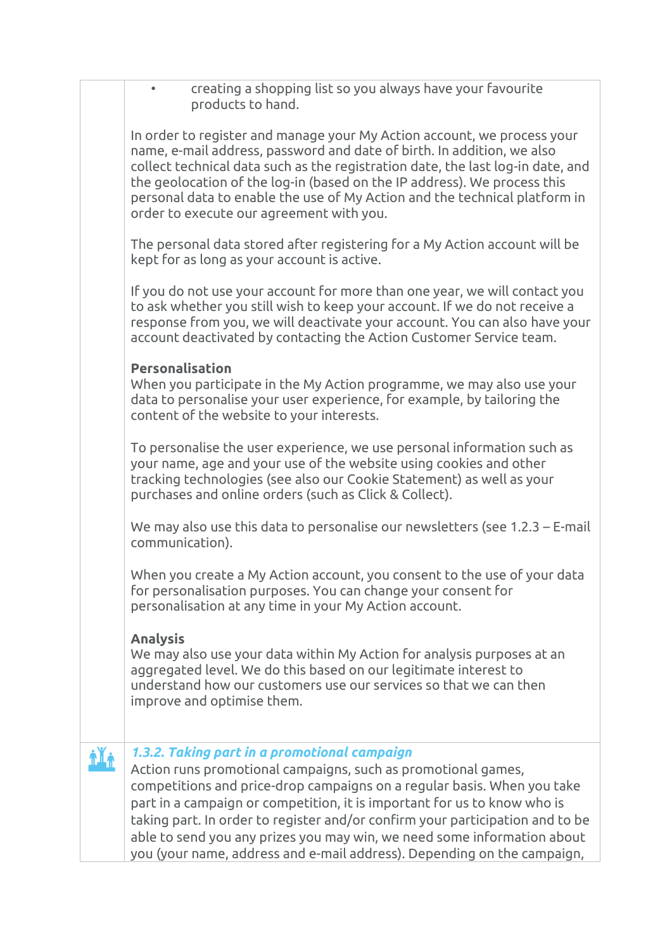| creating a shopping list so you always have your favourite<br>products to hand.                                                                                                                                                                                                                                                                                                                                                            |
|--------------------------------------------------------------------------------------------------------------------------------------------------------------------------------------------------------------------------------------------------------------------------------------------------------------------------------------------------------------------------------------------------------------------------------------------|
| In order to register and manage your My Action account, we process your<br>name, e-mail address, password and date of birth. In addition, we also<br>collect technical data such as the registration date, the last log-in date, and<br>the geolocation of the log-in (based on the IP address). We process this<br>personal data to enable the use of My Action and the technical platform in<br>order to execute our agreement with you. |
| The personal data stored after registering for a My Action account will be<br>kept for as long as your account is active.                                                                                                                                                                                                                                                                                                                  |
| If you do not use your account for more than one year, we will contact you<br>to ask whether you still wish to keep your account. If we do not receive a<br>response from you, we will deactivate your account. You can also have your<br>account deactivated by contacting the Action Customer Service team.                                                                                                                              |
| <b>Personalisation</b><br>When you participate in the My Action programme, we may also use your<br>data to personalise your user experience, for example, by tailoring the<br>content of the website to your interests.                                                                                                                                                                                                                    |
| To personalise the user experience, we use personal information such as<br>your name, age and your use of the website using cookies and other<br>tracking technologies (see also our Cookie Statement) as well as your<br>purchases and online orders (such as Click & Collect).                                                                                                                                                           |
| We may also use this data to personalise our newsletters (see $1.2.3$ – E-mail<br>communication).                                                                                                                                                                                                                                                                                                                                          |
| When you create a My Action account, you consent to the use of your data<br>for personalisation purposes. You can change your consent for<br>personalisation at any time in your My Action account.                                                                                                                                                                                                                                        |
| <b>Analysis</b><br>We may also use your data within My Action for analysis purposes at an<br>aggregated level. We do this based on our legitimate interest to<br>understand how our customers use our services so that we can then<br>improve and optimise them.                                                                                                                                                                           |
| 1.3.2. Taking part in a promotional campaign                                                                                                                                                                                                                                                                                                                                                                                               |
| Action runs promotional campaigns, such as promotional games,<br>competitions and price-drop campaigns on a regular basis. When you take<br>part in a campaign or competition, it is important for us to know who is<br>taking part. In order to register and/or confirm your participation and to be<br>able to send you any prizes you may win, we need some information about                                                           |
| you (your name, address and e-mail address). Depending on the campaign,                                                                                                                                                                                                                                                                                                                                                                    |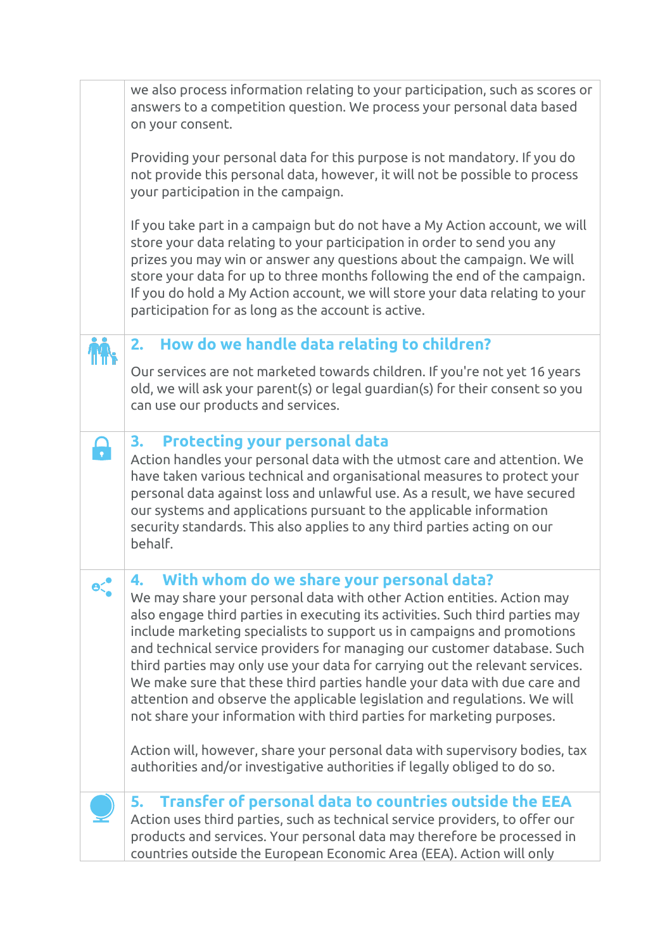|              | we also process information relating to your participation, such as scores or<br>answers to a competition question. We process your personal data based<br>on your consent.                                                                                                                                                                                                                                                                                                                                                                                                                                                                                                         |
|--------------|-------------------------------------------------------------------------------------------------------------------------------------------------------------------------------------------------------------------------------------------------------------------------------------------------------------------------------------------------------------------------------------------------------------------------------------------------------------------------------------------------------------------------------------------------------------------------------------------------------------------------------------------------------------------------------------|
|              | Providing your personal data for this purpose is not mandatory. If you do<br>not provide this personal data, however, it will not be possible to process<br>your participation in the campaign.                                                                                                                                                                                                                                                                                                                                                                                                                                                                                     |
|              | If you take part in a campaign but do not have a My Action account, we will<br>store your data relating to your participation in order to send you any<br>prizes you may win or answer any questions about the campaign. We will<br>store your data for up to three months following the end of the campaign.<br>If you do hold a My Action account, we will store your data relating to your<br>participation for as long as the account is active.                                                                                                                                                                                                                                |
|              | How do we handle data relating to children?<br>2.                                                                                                                                                                                                                                                                                                                                                                                                                                                                                                                                                                                                                                   |
|              | Our services are not marketed towards children. If you're not yet 16 years<br>old, we will ask your parent(s) or legal guardian(s) for their consent so you<br>can use our products and services.                                                                                                                                                                                                                                                                                                                                                                                                                                                                                   |
|              | <b>Protecting your personal data</b><br>3.<br>Action handles your personal data with the utmost care and attention. We<br>have taken various technical and organisational measures to protect your<br>personal data against loss and unlawful use. As a result, we have secured<br>our systems and applications pursuant to the applicable information<br>security standards. This also applies to any third parties acting on our<br>behalf.                                                                                                                                                                                                                                       |
| $e^{\prime}$ | With whom do we share your personal data?<br>4.<br>We may share your personal data with other Action entities. Action may<br>also engage third parties in executing its activities. Such third parties may<br>include marketing specialists to support us in campaigns and promotions<br>and technical service providers for managing our customer database. Such<br>third parties may only use your data for carrying out the relevant services.<br>We make sure that these third parties handle your data with due care and<br>attention and observe the applicable legislation and regulations. We will<br>not share your information with third parties for marketing purposes. |
|              | Action will, however, share your personal data with supervisory bodies, tax<br>authorities and/or investigative authorities if legally obliged to do so.                                                                                                                                                                                                                                                                                                                                                                                                                                                                                                                            |
|              | 5. Transfer of personal data to countries outside the EEA<br>Action uses third parties, such as technical service providers, to offer our<br>products and services. Your personal data may therefore be processed in<br>countries outside the European Economic Area (EEA). Action will only                                                                                                                                                                                                                                                                                                                                                                                        |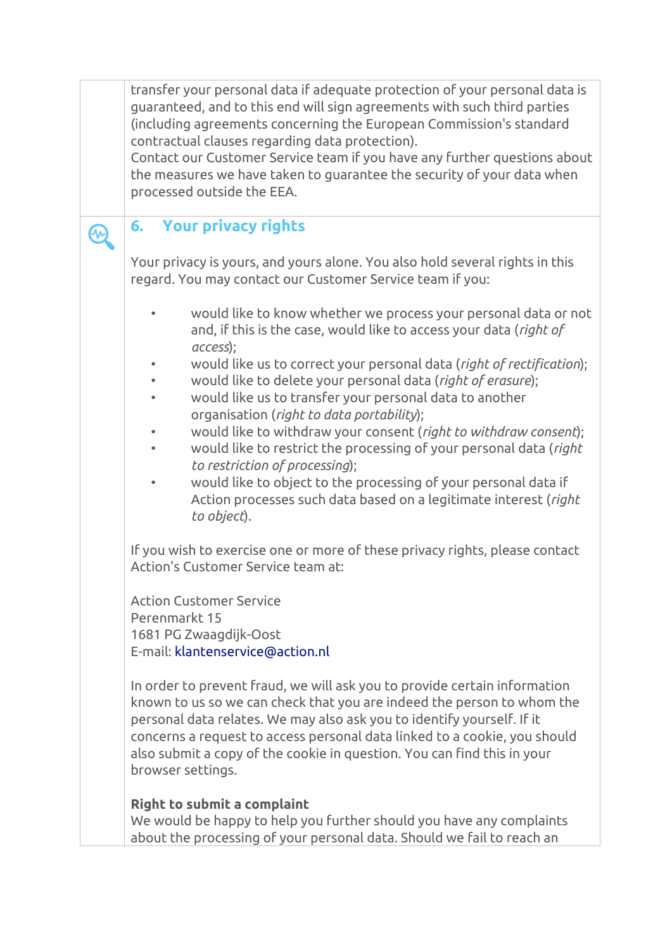transfer your personal data if adequate protection of your personal data is guaranteed, and to this end will sign agreements with such third parties (including agreements concerning the European Commission's standard contractual clauses regarding data protection).

Contact our Customer Service team if you have any further questions about the measures we have taken to guarantee the security of your data when processed outside the EEA.

# **6. Your privacy rights**

A.

Your privacy is yours, and yours alone. You also hold several rights in this regard. You may contact our Customer Service team if you:

- would like to know whether we process your personal data or not and, if this is the case, would like to access your data (*right of access*);
- would like us to correct your personal data (*right of rectification*);
- would like to delete your personal data (*right of erasure*);
- would like us to transfer your personal data to another organisation (*right to data portability*);
- would like to withdraw your consent (*right to withdraw consent*);
- would like to restrict the processing of your personal data (*right to restriction of processing*);
- would like to object to the processing of your personal data if Action processes such data based on a legitimate interest (*right to object*).

If you wish to exercise one or more of these privacy rights, please contact Action's Customer Service team at:

Action Customer Service Perenmarkt 15 1681 PG Zwaagdijk-Oost E-mail: [klantenservice@action.nl](mailto:klantenservice@action.nl)

In order to prevent fraud, we will ask you to provide certain information known to us so we can check that you are indeed the person to whom the personal data relates. We may also ask you to identify yourself. If it concerns a request to access personal data linked to a cookie, you should also submit a copy of the cookie in question. You can find this in your browser settings.

# **Right to submit a complaint**

We would be happy to help you further should you have any complaints about the processing of your personal data. Should we fail to reach an